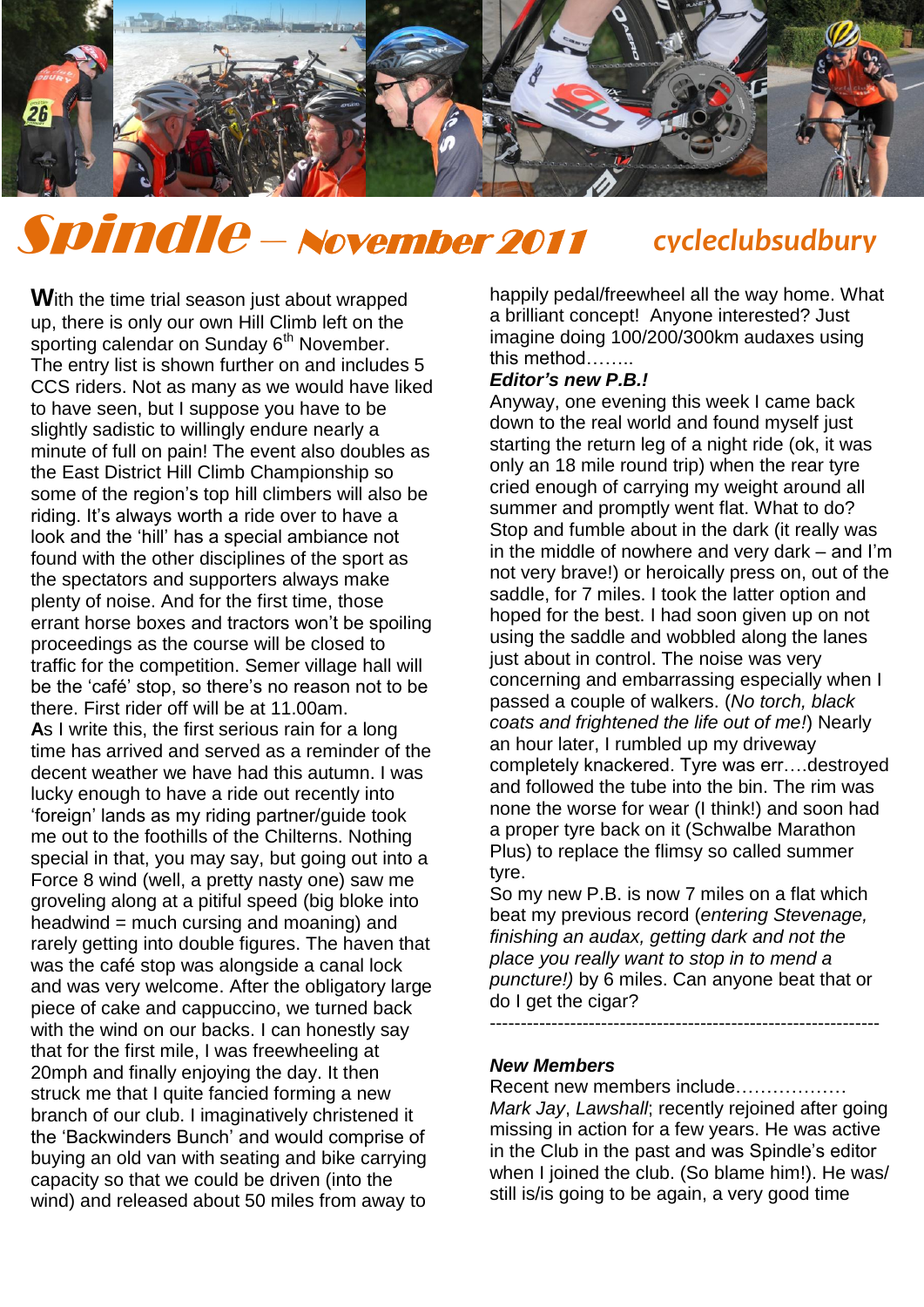

# Spindle – November 2011 *cycleclubsudbury*

**W**ith the time trial season just about wrapped up, there is only our own Hill Climb left on the sporting calendar on Sunday 6<sup>th</sup> November. The entry list is shown further on and includes 5 CCS riders. Not as many as we would have liked to have seen, but I suppose you have to be slightly sadistic to willingly endure nearly a minute of full on pain! The event also doubles as minute of full on pain! The event also double:<br>the East District Hill Climb Championship so some of the region"s top hill climbers will also be riding. It's always worth a ride over to have a look and the "hill" has a special ambiance not found with the other disciplines of the sport as the spectators and supporters always make plenty of noise. And for the first time, those errant horse boxes and tractors won"t be spoiling proceedings as the course will be closed to traffic for the competition. Semer village hall will be the "café" stop, so there"s no reason not to be there. First rider off will be at 11.00am. **A**s I write this, the first serious rain for a long time has arrived and served as a reminder of the decent weather we have had this autumn. I was lucky enough to have a ride out recently into "foreign" lands as my riding partner/guide took me out to the foothills of the Chilterns. Nothing special in that, you may say, but going out into a Force 8 wind (well, a pretty nasty one) saw me groveling along at a pitiful speed (big bloke into headwind = much cursing and moaning) and rarely getting into double figures. The haven that was the café stop was alongside a canal lock and was very welcome. After the obligatory large piece of cake and cappuccino, we turned back with the wind on our backs. I can honestly say that for the first mile, I was freewheeling at 20mph and finally enjoying the day. It then struck me that I quite fancied forming a new branch of our club. I imaginatively christened it the "Backwinders Bunch" and would comprise of buying an old van with seating and bike carrying capacity so that we could be driven (into the wind) and released about 50 miles from away to

happily pedal/freewheel all the way home. What a brilliant concept! Anyone interested? Just imagine doing 100/200/300km audaxes using this method……..

### *Editor's new P.B.!*

Anyway, one evening this week I came back down to the real world and found myself just starting the return leg of a night ride (ok, it was only an 18 mile round trip) when the rear tyre cried enough of carrying my weight around all summer and promptly went flat. What to do? Stop and fumble about in the dark (it really was in the middle of nowhere and very dark – and I"m not very brave!) or heroically press on, out of the saddle, for 7 miles. I took the latter option and hoped for the best. I had soon given up on not using the saddle and wobbled along the lanes just about in control. The noise was very concerning and embarrassing especially when I passed a couple of walkers. (*No torch, black coats and frightened the life out of me!*) Nearly an hour later, I rumbled up my driveway completely knackered. Tyre was err….destroyed and followed the tube into the bin. The rim was none the worse for wear (I think!) and soon had a proper tyre back on it (Schwalbe Marathon Plus) to replace the flimsy so called summer tyre.

So my new P.B. is now 7 miles on a flat which beat my previous record (*entering Stevenage, finishing an audax, getting dark and not the place you really want to stop in to mend a puncture!)* by 6 miles. Can anyone beat that or do I get the cigar?

---------------------------------------------------------------

# *New Members*

Recent new members include………………

*Mark Jay*, *Lawshall*; recently rejoined after going missing in action for a few years. He was active in the Club in the past and was Spindle"s editor when I joined the club. (So blame him!). He was/ still is/is going to be again, a very good time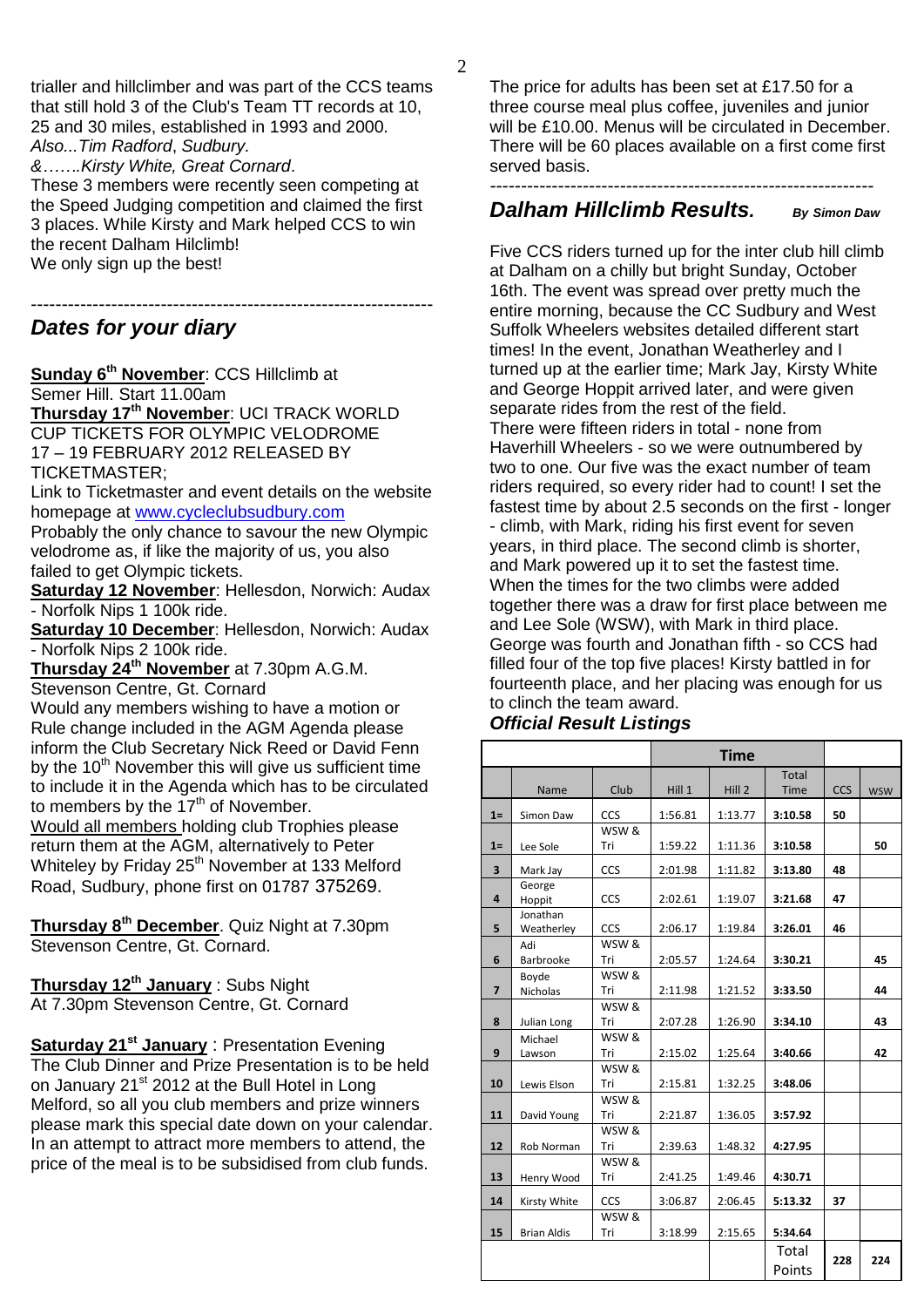trialler and hillclimber and was part of the CCS teams that still hold 3 of the Club's Team TT records at 10, 25 and 30 miles, established in 1993 and 2000. *Also...Tim Radford*, *Sudbury.*

*&…….Kirsty White, Great Cornard*.

These 3 members were recently seen competing at the Speed Judging competition and claimed the first 3 places. While Kirsty and Mark helped CCS to win the recent Dalham Hilclimb! We only sign up the best!

----------------------------------------------------------------- *Dates for your diary*

**Sunday 6th November**: CCS Hillclimb at Semer Hill. Start 11.00am

**Thursday 17th November**: UCI TRACK WORLD CUP TICKETS FOR OLYMPIC VELODROME 17 – 19 FEBRUARY 2012 RELEASED BY TICKETMASTER;

Link to Ticketmaster and event details on the website homepage at [www.cycleclubsudbury.com](http://www.cycleclubsudbury.com/)

Probably the only chance to savour the new Olympic velodrome as, if like the majority of us, you also failed to get Olympic tickets.

**Saturday 12 November**: Hellesdon, Norwich: Audax - Norfolk Nips 1 100k ride.

**Saturday 10 December**: Hellesdon, Norwich: Audax - Norfolk Nips 2 100k ride.

**Thursday 24th November** at 7.30pm A.G.M. Stevenson Centre, Gt. Cornard

Would any members wishing to have a motion or Rule change included in the AGM Agenda please inform the Club Secretary Nick Reed or David Fenn by the  $10<sup>th</sup>$  November this will give us sufficient time to include it in the Agenda which has to be circulated to members by the  $17<sup>th</sup>$  of November. Would all members holding club Trophies please return them at the AGM, alternatively to Peter Whiteley by Friday 25<sup>th</sup> November at 133 Melford Road, Sudbury, phone first on 01787 375269.

**Thursday 8th December**. Quiz Night at 7.30pm Stevenson Centre, Gt. Cornard.

**Thursday 12th January** : Subs Night At 7.30pm Stevenson Centre, Gt. Cornard

**Saturday 21st January** : Presentation Evening The Club Dinner and Prize Presentation is to be held on January 21<sup>st</sup> 2012 at the Bull Hotel in Long Melford, so all you club members and prize winners please mark this special date down on your calendar. In an attempt to attract more members to attend, the price of the meal is to be subsidised from club funds.

The price for adults has been set at £17.50 for a three course meal plus coffee, juveniles and junior will be £10.00. Menus will be circulated in December. There will be 60 places available on a first come first served basis.

#### *-------------------------------------------------------------- Dalham Hillclimb Results. By Simon Daw*

Five CCS riders turned up for the inter club hill climb at Dalham on a chilly but bright Sunday, October 16th. The event was spread over pretty much the entire morning, because the CC Sudbury and West Suffolk Wheelers websites detailed different start times! In the event, Jonathan Weatherley and I turned up at the earlier time; Mark Jay, Kirsty White and George Hoppit arrived later, and were given separate rides from the rest of the field. There were fifteen riders in total - none from Haverhill Wheelers - so we were outnumbered by two to one. Our five was the exact number of team riders required, so every rider had to count! I set the fastest time by about 2.5 seconds on the first - longer - climb, with Mark, riding his first event for seven years, in third place. The second climb is shorter, and Mark powered up it to set the fastest time. When the times for the two climbs were added together there was a draw for first place between me and Lee Sole (WSW), with Mark in third place. George was fourth and Jonathan fifth - so CCS had filled four of the top five places! Kirsty battled in for fourteenth place, and her placing was enough for us to clinch the team award.

# *Official Result Listings*

|                | <b>Time</b>              |              |         |         |                      |            |            |
|----------------|--------------------------|--------------|---------|---------|----------------------|------------|------------|
|                | Name                     | Club         | Hill1   | Hill 2  | Total<br><b>Time</b> | <b>CCS</b> | <b>WSW</b> |
| $1=$           | Simon Daw                | <b>CCS</b>   | 1:56.81 | 1:13.77 | 3:10.58              | 50         |            |
| $1 =$          | Lee Sole                 | WSW &<br>Tri | 1:59.22 | 1:11.36 | 3:10.58              |            | 50         |
| 3              | Mark Jay                 | <b>CCS</b>   | 2:01.98 | 1:11.82 | 3:13.80              | 48         |            |
| 4              | George<br>Hoppit         | CCS          | 2:02.61 | 1:19.07 | 3:21.68              | 47         |            |
| 5              | Jonathan<br>Weatherley   | <b>CCS</b>   | 2:06.17 | 1:19.84 | 3:26.01              | 46         |            |
| 6              | Adi<br>Barbrooke         | WSW &<br>Tri | 2:05.57 | 1:24.64 | 3:30.21              |            | 45         |
| $\overline{7}$ | Boyde<br><b>Nicholas</b> | WSW &<br>Tri | 2:11.98 | 1:21.52 | 3:33.50              |            | 44         |
| 8              | Julian Long              | WSW &<br>Tri | 2:07.28 | 1:26.90 | 3:34.10              |            | 43         |
| 9              | Michael<br>Lawson        | WSW &<br>Tri | 2:15.02 | 1:25.64 | 3:40.66              |            | 42         |
| 10             | Lewis Elson              | WSW &<br>Tri | 2:15.81 | 1:32.25 | 3:48.06              |            |            |
| 11             | David Young              | WSW &<br>Tri | 2:21.87 | 1:36.05 | 3:57.92              |            |            |
| 12             | Rob Norman               | WSW &<br>Tri | 2:39.63 | 1:48.32 | 4:27.95              |            |            |
| 13             | Henry Wood               | WSW &<br>Tri | 2:41.25 | 1:49.46 | 4:30.71              |            |            |
| 14             | Kirsty White             | <b>CCS</b>   | 3:06.87 | 2:06.45 | 5:13.32              | 37         |            |
| 15             | <b>Brian Aldis</b>       | WSW &<br>Tri | 3:18.99 | 2:15.65 | 5:34.64              |            |            |
|                |                          |              |         |         | Total<br>Points      | 228        | 224        |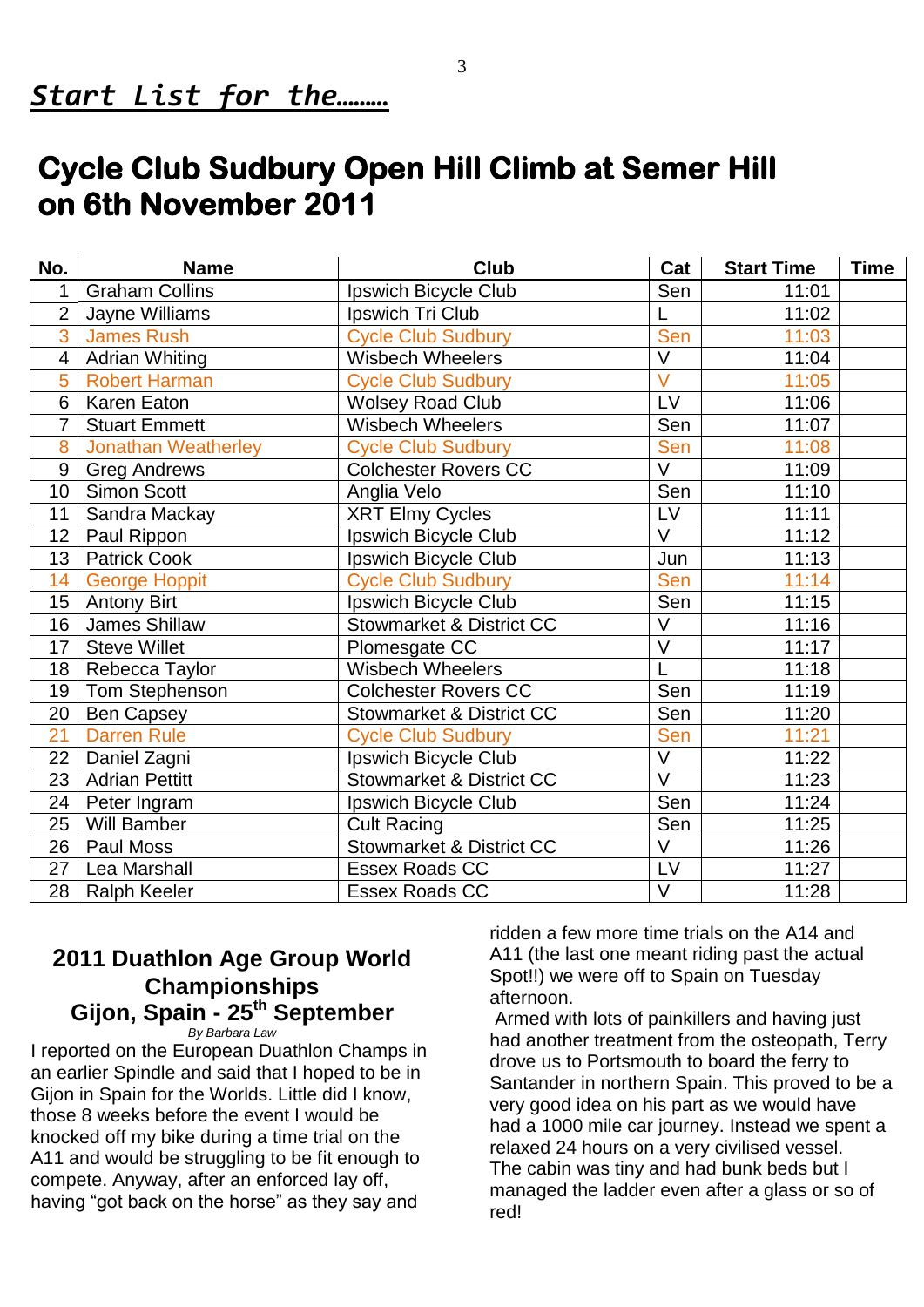# **Cycle Club Sudbury Open Hill Climb at Semer Hill on 6th November 2011**

| No.             | <b>Name</b>                | <b>Club</b>                         | Cat                     | <b>Start Time</b> | <b>Time</b> |
|-----------------|----------------------------|-------------------------------------|-------------------------|-------------------|-------------|
|                 | <b>Graham Collins</b>      | Ipswich Bicycle Club                | Sen                     | 11:01             |             |
| $\overline{2}$  | Jayne Williams             | Ipswich Tri Club                    |                         | 11:02             |             |
| 3               | <b>James Rush</b>          | <b>Cycle Club Sudbury</b>           | Sen                     | 11:03             |             |
| $\overline{4}$  | <b>Adrian Whiting</b>      | <b>Wisbech Wheelers</b>             | $\overline{\mathsf{V}}$ | 11:04             |             |
| 5               | <b>Robert Harman</b>       | <b>Cycle Club Sudbury</b>           | $\overline{\mathsf{V}}$ | 11:05             |             |
| 6               | Karen Eaton                | <b>Wolsey Road Club</b>             | LV                      | 11:06             |             |
| $\overline{7}$  | <b>Stuart Emmett</b>       | <b>Wisbech Wheelers</b>             | Sen                     | 11:07             |             |
| 8               | <b>Jonathan Weatherley</b> | <b>Cycle Club Sudbury</b>           | Sen                     | 11:08             |             |
| 9               | <b>Greg Andrews</b>        | <b>Colchester Rovers CC</b>         | $\overline{\vee}$       | 11:09             |             |
| 10 <sub>1</sub> | <b>Simon Scott</b>         | Anglia Velo                         | Sen                     | 11:10             |             |
| 11              | Sandra Mackay              | <b>XRT Elmy Cycles</b>              | LV                      | 11:11             |             |
| 12 <sub>2</sub> | Paul Rippon                | Ipswich Bicycle Club                | V                       | 11:12             |             |
| 13              | <b>Patrick Cook</b>        | Ipswich Bicycle Club                | Jun                     | 11:13             |             |
| 14              | <b>George Hoppit</b>       | <b>Cycle Club Sudbury</b>           | Sen                     | 11:14             |             |
| 15 <sub>1</sub> | <b>Antony Birt</b>         | Ipswich Bicycle Club                | Sen                     | 11:15             |             |
| 16 <sup>°</sup> | James Shillaw              | <b>Stowmarket &amp; District CC</b> | V                       | 11:16             |             |
| 17 <sup>1</sup> | <b>Steve Willet</b>        | Plomesgate CC                       | $\overline{\vee}$       | 11:17             |             |
| 18              | Rebecca Taylor             | <b>Wisbech Wheelers</b>             |                         | 11:18             |             |
| 19              | Tom Stephenson             | <b>Colchester Rovers CC</b>         | Sen                     | 11:19             |             |
| 20              | <b>Ben Capsey</b>          | <b>Stowmarket &amp; District CC</b> | Sen                     | 11:20             |             |
| 21              | <b>Darren Rule</b>         | <b>Cycle Club Sudbury</b>           | Sen                     | 11:21             |             |
| 22              | Daniel Zagni               | Ipswich Bicycle Club                | $\overline{\mathsf{V}}$ | 11:22             |             |
| 23              | <b>Adrian Pettitt</b>      | <b>Stowmarket &amp; District CC</b> | $\vee$                  | 11:23             |             |
| 24              | Peter Ingram               | Ipswich Bicycle Club                | Sen                     | 11:24             |             |
| 25              | Will Bamber                | <b>Cult Racing</b>                  | Sen                     | 11:25             |             |
| 26              | Paul Moss                  | <b>Stowmarket &amp; District CC</b> | V                       | 11:26             |             |
| 27              | Lea Marshall               | <b>Essex Roads CC</b>               | LV                      | 11:27             |             |
| 28              | <b>Ralph Keeler</b>        | <b>Essex Roads CC</b>               | $\overline{\vee}$       | 11:28             |             |

# **2011 Duathlon Age Group World Championships Gijon, Spain - 25th September**

*By Barbara Law*

I reported on the European Duathlon Champs in an earlier Spindle and said that I hoped to be in Gijon in Spain for the Worlds. Little did I know, those 8 weeks before the event I would be knocked off my bike during a time trial on the A11 and would be struggling to be fit enough to compete. Anyway, after an enforced lay off, having "got back on the horse" as they say and

ridden a few more time trials on the A14 and A11 (the last one meant riding past the actual Spot!!) we were off to Spain on Tuesday afternoon.

Armed with lots of painkillers and having just had another treatment from the osteopath, Terry drove us to Portsmouth to board the ferry to Santander in northern Spain. This proved to be a very good idea on his part as we would have had a 1000 mile car journey. Instead we spent a relaxed 24 hours on a very civilised vessel. The cabin was tiny and had bunk beds but I managed the ladder even after a glass or so of red!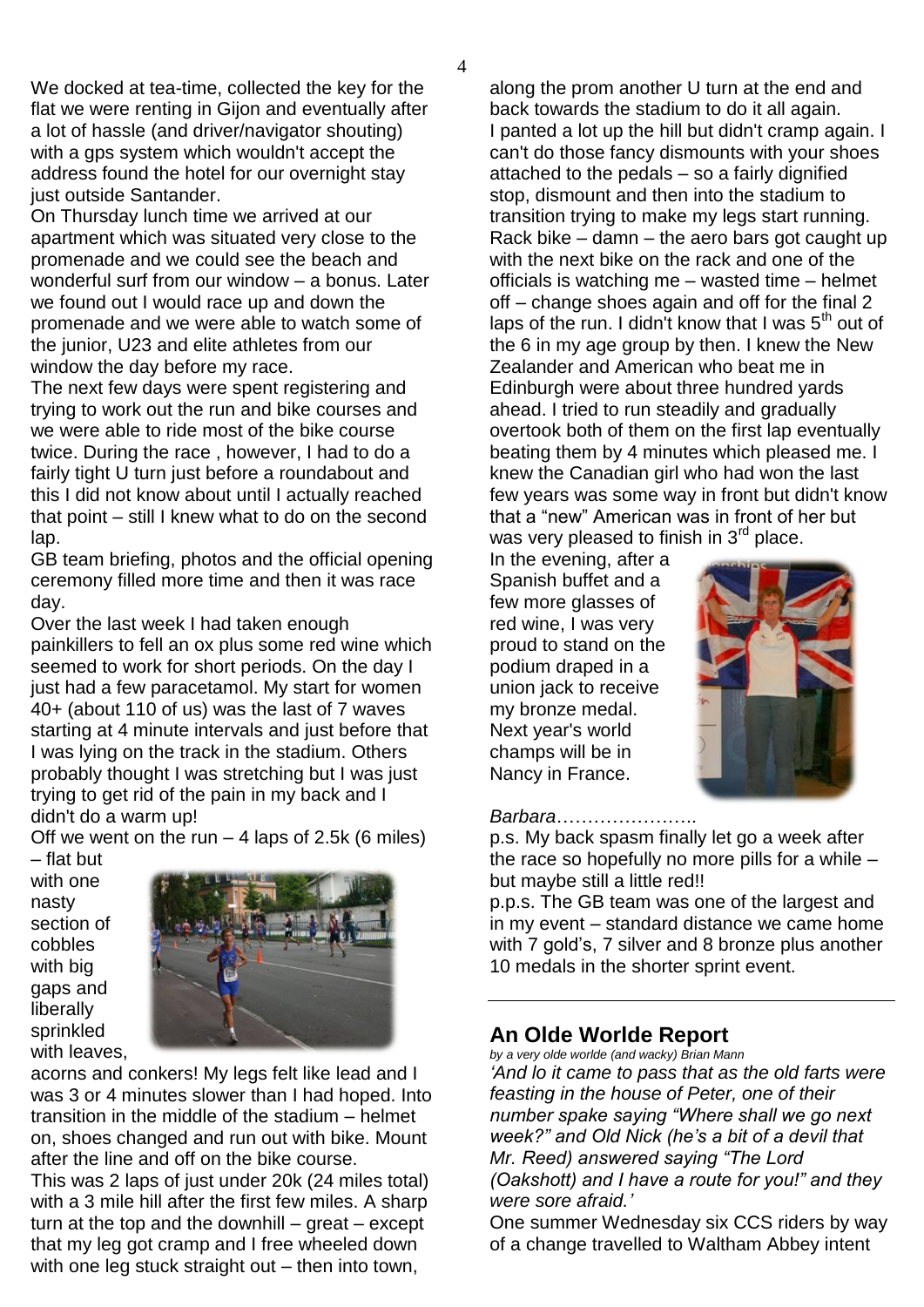We docked at tea-time, collected the key for the flat we were renting in Gijon and eventually after a lot of hassle (and driver/navigator shouting) with a gps system which wouldn't accept the address found the hotel for our overnight stay just outside Santander.

On Thursday lunch time we arrived at our apartment which was situated very close to the promenade and we could see the beach and wonderful surf from our window – a bonus. Later we found out I would race up and down the promenade and we were able to watch some of the junior, U23 and elite athletes from our window the day before my race.

The next few days were spent registering and trying to work out the run and bike courses and we were able to ride most of the bike course twice. During the race , however, I had to do a fairly tight U turn just before a roundabout and this I did not know about until I actually reached that point – still I knew what to do on the second lap.

GB team briefing, photos and the official opening ceremony filled more time and then it was race day.

Over the last week I had taken enough painkillers to fell an ox plus some red wine which seemed to work for short periods. On the day I just had a few paracetamol. My start for women 40+ (about 110 of us) was the last of 7 waves starting at 4 minute intervals and just before that I was lying on the track in the stadium. Others probably thought I was stretching but I was just trying to get rid of the pain in my back and I didn't do a warm up!

Off we went on the run  $-$  4 laps of 2.5k (6 miles) – flat but

with one nasty section of cobbles with big gaps and liberally sprinkled with leaves,



acorns and conkers! My legs felt like lead and I was 3 or 4 minutes slower than I had hoped. Into transition in the middle of the stadium – helmet on, shoes changed and run out with bike. Mount after the line and off on the bike course.

This was 2 laps of just under 20k (24 miles total) with a 3 mile hill after the first few miles. A sharp turn at the top and the downhill  $-$  great  $-$  except that my leg got cramp and I free wheeled down with one leg stuck straight out – then into town,

along the prom another U turn at the end and back towards the stadium to do it all again. I panted a lot up the hill but didn't cramp again. I can't do those fancy dismounts with your shoes attached to the pedals – so a fairly dignified stop, dismount and then into the stadium to transition trying to make my legs start running. Rack bike – damn – the aero bars got caught up with the next bike on the rack and one of the officials is watching me – wasted time – helmet off – change shoes again and off for the final 2 laps of the run. I didn't know that I was  $5<sup>th</sup>$  out of the 6 in my age group by then. I knew the New Zealander and American who beat me in Edinburgh were about three hundred yards ahead. I tried to run steadily and gradually overtook both of them on the first lap eventually beating them by 4 minutes which pleased me. I knew the Canadian girl who had won the last few years was some way in front but didn't know that a "new" American was in front of her but was very pleased to finish in 3<sup>rd</sup> place.

In the evening, after a Spanish buffet and a few more glasses of red wine, I was very proud to stand on the podium draped in a union jack to receive my bronze medal. Next year's world champs will be in Nancy in France.



#### *Barbara*…………………..

p.s. My back spasm finally let go a week after the race so hopefully no more pills for a while – but maybe still a little red!!

p.p.s. The GB team was one of the largest and in my event – standard distance we came home with 7 gold's, 7 silver and 8 bronze plus another 10 medals in the shorter sprint event.

# **An Olde Worlde Report**

*by a very olde worlde (and wacky) Brian Mann "And lo it came to pass that as the old farts were feasting in the house of Peter, one of their number spake saying "Where shall we go next week?" and Old Nick (he"s a bit of a devil that Mr. Reed) answered saying "The Lord (Oakshott) and I have a route for you!" and they were sore afraid."* 

One summer Wednesday six CCS riders by way of a change travelled to Waltham Abbey intent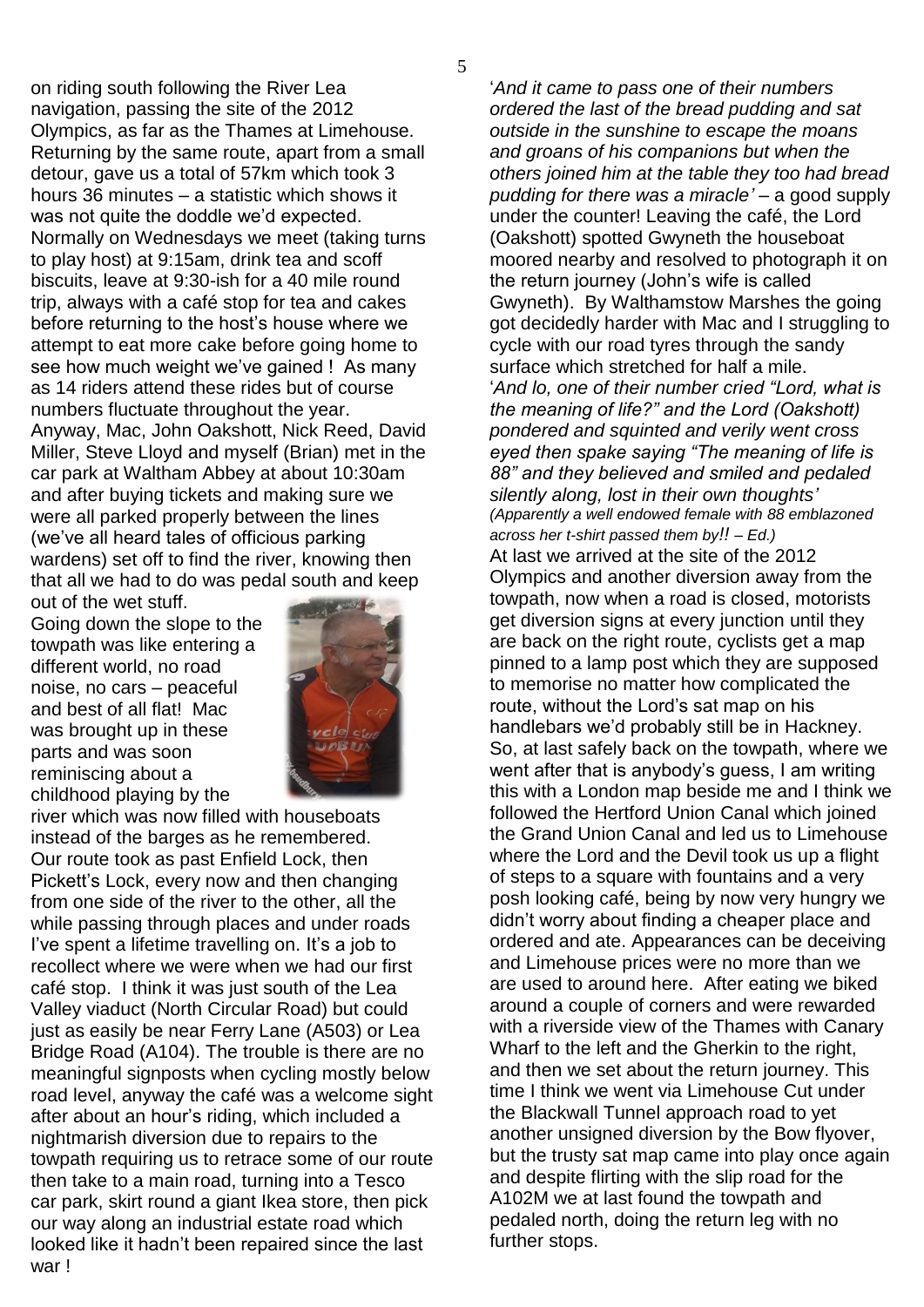on riding south following the River Lea navigation, passing the site of the 2012 Olympics, as far as the Thames at Limehouse. Returning by the same route, apart from a small detour, gave us a total of 57km which took 3 hours 36 minutes – a statistic which shows it was not quite the doddle we"d expected. Normally on Wednesdays we meet (taking turns to play host) at 9:15am, drink tea and scoff biscuits, leave at 9:30-ish for a 40 mile round trip, always with a café stop for tea and cakes before returning to the host"s house where we attempt to eat more cake before going home to see how much weight we've gained ! As many as 14 riders attend these rides but of course numbers fluctuate throughout the year. Anyway, Mac, John Oakshott, Nick Reed, David Miller, Steve Lloyd and myself (Brian) met in the car park at Waltham Abbey at about 10:30am and after buying tickets and making sure we were all parked properly between the lines (we"ve all heard tales of officious parking wardens) set off to find the river, knowing then that all we had to do was pedal south and keep

out of the wet stuff. Going down the slope to the towpath was like entering a different world, no road noise, no cars – peaceful and best of all flat! Mac was brought up in these parts and was soon reminiscing about a childhood playing by the



river which was now filled with houseboats instead of the barges as he remembered. Our route took as past Enfield Lock, then Pickett's Lock, every now and then changing from one side of the river to the other, all the while passing through places and under roads I've spent a lifetime travelling on. It's a job to recollect where we were when we had our first café stop. I think it was just south of the Lea Valley viaduct (North Circular Road) but could just as easily be near Ferry Lane (A503) or Lea Bridge Road (A104). The trouble is there are no meaningful signposts when cycling mostly below road level, anyway the café was a welcome sight after about an hour"s riding, which included a nightmarish diversion due to repairs to the towpath requiring us to retrace some of our route then take to a main road, turning into a Tesco car park, skirt round a giant Ikea store, then pick our way along an industrial estate road which looked like it hadn"t been repaired since the last war !

"*And it came to pass one of their numbers ordered the last of the bread pudding and sat outside in the sunshine to escape the moans and groans of his companions but when the others joined him at the table they too had bread pudding for there was a miracle"* – a good supply under the counter! Leaving the café, the Lord (Oakshott) spotted Gwyneth the houseboat moored nearby and resolved to photograph it on the return journey (John"s wife is called Gwyneth). By Walthamstow Marshes the going got decidedly harder with Mac and I struggling to cycle with our road tyres through the sandy surface which stretched for half a mile. "*And lo, one of their number cried "Lord, what is the meaning of life?" and the Lord (Oakshott) pondered and squinted and verily went cross eyed then spake saying "The meaning of life is 88" and they believed and smiled and pedaled silently along, lost in their own thoughts" (Apparently a well endowed female with 88 emblazoned across her t-shirt passed them by!! – Ed.)*  At last we arrived at the site of the 2012 Olympics and another diversion away from the towpath, now when a road is closed, motorists get diversion signs at every junction until they are back on the right route, cyclists get a map pinned to a lamp post which they are supposed to memorise no matter how complicated the route, without the Lord"s sat map on his handlebars we"d probably still be in Hackney. So, at last safely back on the towpath, where we went after that is anybody"s guess, I am writing this with a London map beside me and I think we followed the Hertford Union Canal which joined the Grand Union Canal and led us to Limehouse where the Lord and the Devil took us up a flight of steps to a square with fountains and a very posh looking café, being by now very hungry we didn"t worry about finding a cheaper place and ordered and ate. Appearances can be deceiving and Limehouse prices were no more than we are used to around here. After eating we biked around a couple of corners and were rewarded with a riverside view of the Thames with Canary Wharf to the left and the Gherkin to the right, and then we set about the return journey. This time I think we went via Limehouse Cut under the Blackwall Tunnel approach road to yet another unsigned diversion by the Bow flyover, but the trusty sat map came into play once again and despite flirting with the slip road for the A102M we at last found the towpath and pedaled north, doing the return leg with no further stops.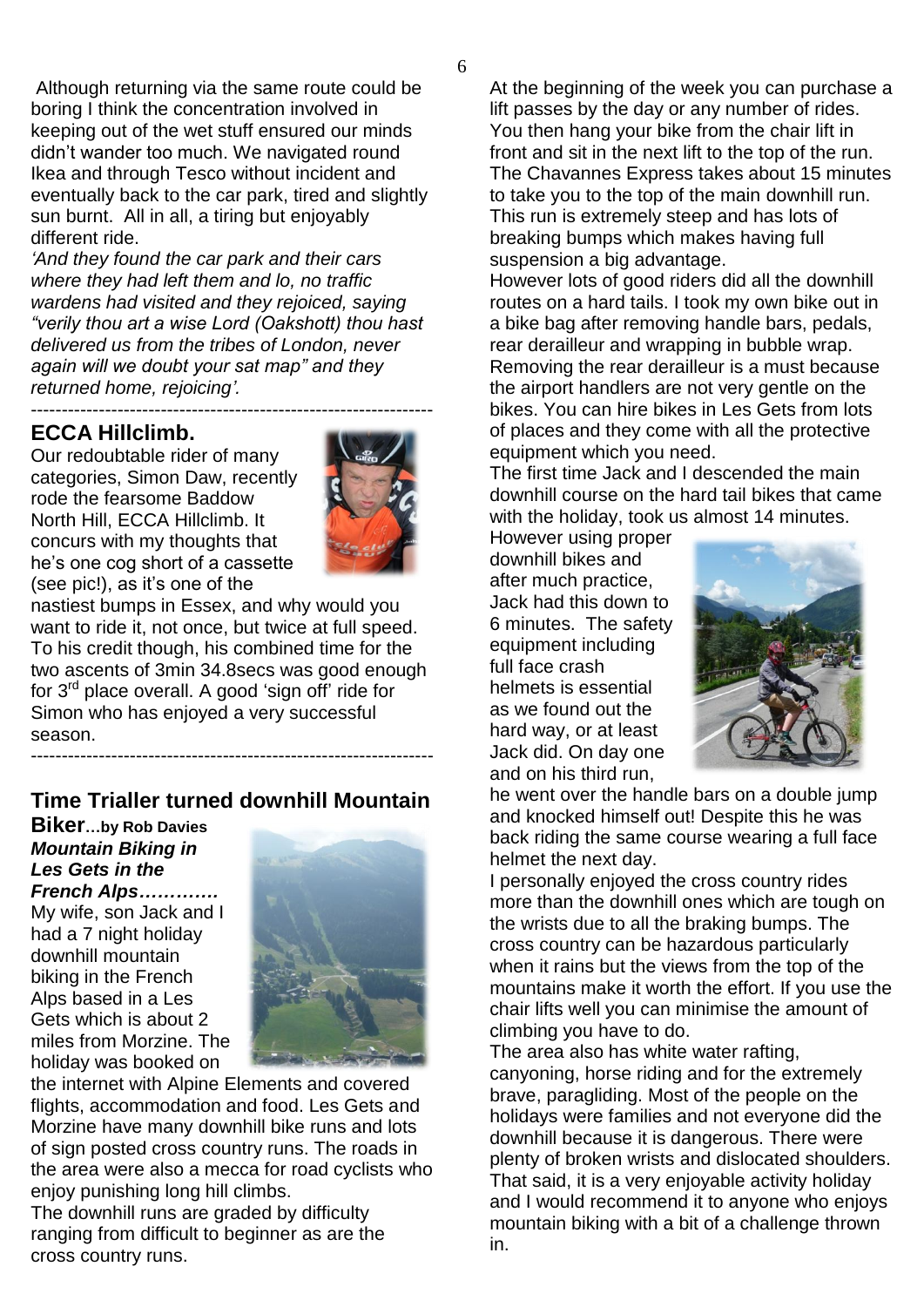Although returning via the same route could be boring I think the concentration involved in keeping out of the wet stuff ensured our minds didn"t wander too much. We navigated round Ikea and through Tesco without incident and eventually back to the car park, tired and slightly sun burnt. All in all, a tiring but enjoyably different ride.

*"And they found the car park and their cars where they had left them and lo, no traffic wardens had visited and they rejoiced, saying "verily thou art a wise Lord (Oakshott) thou hast delivered us from the tribes of London, never again will we doubt your sat map" and they returned home, rejoicing".* -----------------------------------------------------------------

# **ECCA Hillclimb.**

Our redoubtable rider of many categories, Simon Daw, recently rode the fearsome Baddow North Hill, ECCA Hillclimb. It concurs with my thoughts that he"s one cog short of a cassette (see pic!), as it's one of the



nastiest bumps in Essex, and why would you want to ride it, not once, but twice at full speed. To his credit though, his combined time for the two ascents of 3min 34.8secs was good enough for  $3<sup>rd</sup>$  place overall. A good 'sign off' ride for Simon who has enjoyed a very successful season. -----------------------------------------------------------------

# **Time Trialler turned downhill Mountain**

#### **Biker…by Rob Davies** *Mountain Biking in Les Gets in the French Alps………….*

My wife, son Jack and I had a 7 night holiday downhill mountain biking in the French Alps based in a Les Gets which is about 2 miles from Morzine. The holiday was booked on



the internet with Alpine Elements and covered flights, accommodation and food. Les Gets and Morzine have many downhill bike runs and lots of sign posted cross country runs. The roads in the area were also a mecca for road cyclists who enjoy punishing long hill climbs.

The downhill runs are graded by difficulty ranging from difficult to beginner as are the cross country runs.

At the beginning of the week you can purchase a lift passes by the day or any number of rides. You then hang your bike from the chair lift in front and sit in the next lift to the top of the run. The Chavannes Express takes about 15 minutes to take you to the top of the main downhill run. This run is extremely steep and has lots of breaking bumps which makes having full suspension a big advantage.

However lots of good riders did all the downhill routes on a hard tails. I took my own bike out in a bike bag after removing handle bars, pedals, rear derailleur and wrapping in bubble wrap. Removing the rear derailleur is a must because the airport handlers are not very gentle on the bikes. You can hire bikes in Les Gets from lots of places and they come with all the protective equipment which you need.

The first time Jack and I descended the main downhill course on the hard tail bikes that came with the holiday, took us almost 14 minutes.

However using proper downhill bikes and after much practice, Jack had this down to 6 minutes. The safety equipment including full face crash helmets is essential as we found out the hard way, or at least Jack did. On day one and on his third run,



he went over the handle bars on a double jump and knocked himself out! Despite this he was back riding the same course wearing a full face helmet the next day.

I personally enjoyed the cross country rides more than the downhill ones which are tough on the wrists due to all the braking bumps. The cross country can be hazardous particularly when it rains but the views from the top of the mountains make it worth the effort. If you use the chair lifts well you can minimise the amount of climbing you have to do.

The area also has white water rafting, canyoning, horse riding and for the extremely brave, paragliding. Most of the people on the holidays were families and not everyone did the downhill because it is dangerous. There were plenty of broken wrists and dislocated shoulders. That said, it is a very enjoyable activity holiday and I would recommend it to anyone who enjoys mountain biking with a bit of a challenge thrown in.